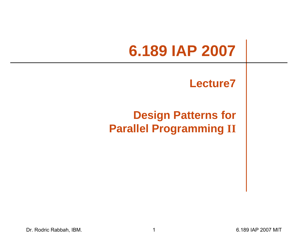# **6.189 IAP 2007**

#### **Lecture7**

#### **Design Patterns for Parallel Programming II**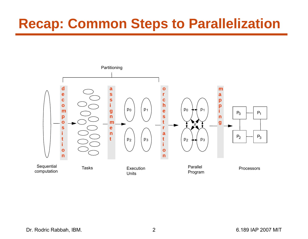## **Recap: Common Steps to Parallelization**

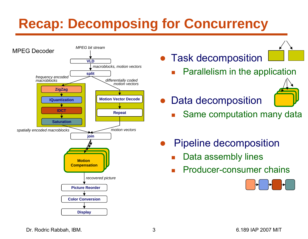# **Recap: Decomposing for Concurrency**



● Task decomposition

k. Parallelism in the application

●Data decomposition



- k. Same computation many data
- ● Pipeline decomposition
	- k. Data assembly lines
	- k. Producer-consumer chains



Dr. Rodric Rabbah, IBM. 3 6.189 IAP 2007 MIT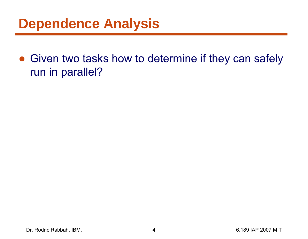#### **Dependence Analysis**

• Given two tasks how to determine if they can safely run in parallel?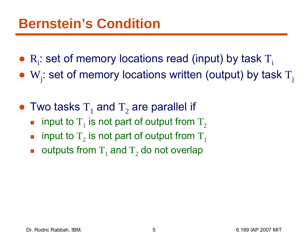- $R_i$ : set of memory locations read (input) by task  $T_i$
- W $_{\rm j}$ : set of memory locations written (output) by task  $\rm T_{\rm j}$
- Two tasks  $T_1$  and  $T_2$  are parallel if
	- b.  $\blacksquare$  input to  $\text{T}_1$  is not part of output from  $\text{T}_2$
	- $\overline{\mathbb{R}}$  $\blacksquare$  input to  $\text{T}_2$  is not part of output from  $\text{T}_1$
	- $\blacksquare$  outputs from  $\text{T}_1$  and  $\text{T}_2$  do not overlap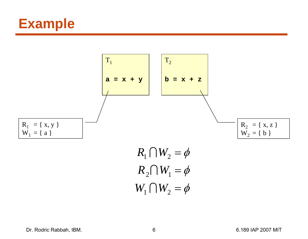



$$
R_2 \cap W_1 = \phi
$$
  
 
$$
W_1 \cap W_2 = \phi
$$

Dr. Rodric Rabbah, IBM. 6 6.189 IAP 2007 MIT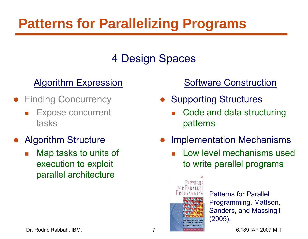## **Patterns for Parallelizing Programs**

#### 4 Design Spaces

#### Algorithm Expression

- **Finding Concurrency** 
	- $\mathbb{R}^n$  Expose concurrent tasks
- $\bullet$  Algorithm Structure
	- $\mathbb{R}^n$  Map tasks to units of execution to exploit parallel architecture

#### Software Construction

- Supporting Structures
	- F Code and data structuring patterns
- $\bullet$  Implementation Mechanisms
	- F Low level mechanisms used to write parallel programs



Patterns for Parallel Programming. Mattson, Sanders, and Massingill (2005).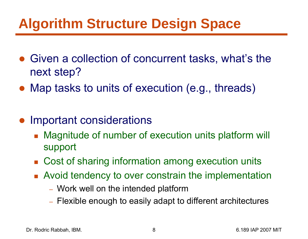## **Algorithm Structure Design Space**

- Given a collection of concurrent tasks, what's the next step?
- Map tasks to units of execution (e.g., threads)
- ● Important considerations
	- $\overline{\mathcal{A}}$  Magnitude of number of execution units platform will support
	- Cost of sharing information among execution units
	- **Avoid tendency to over constrain the implementation** 
		- Work well on the intended platform
		- Flexible enough to easily adapt to different architectures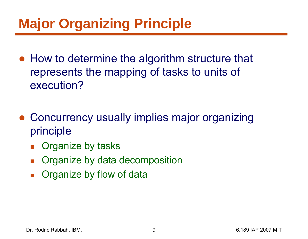## **Major Organizing Principle**

- How to determine the algorithm structure that represents the mapping of tasks to units of execution?
- ● Concurrency usually implies major organizing principle
	- $\overline{\mathbb{R}}$ Organize by tasks
	- $\mathcal{L}^{\mathcal{L}}$ Organize by data decomposition
	- b. Organize by flow of data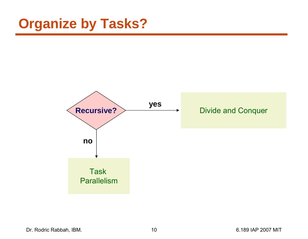## **Organize by Tasks?**



Dr. Rodric Rabbah, IBM. 10 10 6.189 IAP 2007 MIT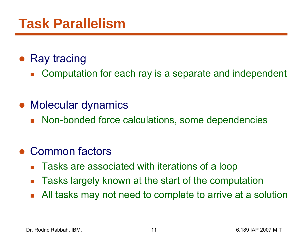#### ● Ray tracing

 $\mathcal{L}^{\mathcal{L}}$ Computation for each ray is a separate and independent

#### ● Molecular dynamics

**Non-bonded force calculations, some dependencies** 

#### $\bullet$ Common factors

- $\mathcal{L}_{\text{max}}$ Tasks are associated with iterations of a loop
- $\mathcal{L}_{\mathcal{A}}$ Tasks largely known at the start of the computation
- $\overline{\mathbb{R}}$ All tasks may not need to complete to arrive at a solution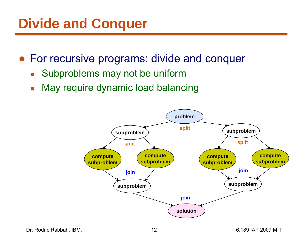## **Divide and Conquer**

- For recursive programs: divide and conquer
	- $\mathcal{L}_{\mathcal{A}}$ Subproblems may not be uniform
	- $\overline{\mathcal{A}}$ May require dynamic load balancing

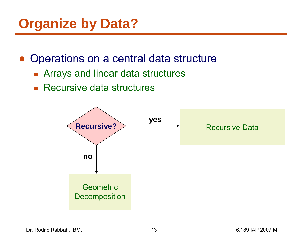## **Organize by Data?**

- ● Operations on a central data structure
	- Arrays and linear data structures
	- **Recursive data structures**

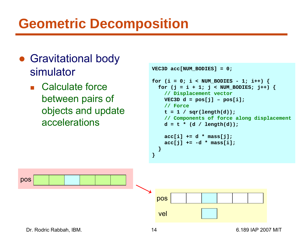## **Geometric Decomposition**

- Gravitational body simulator
	- Calculate force between pairs of objects and update accelerations

```
VEC3D acc[NUM_BODIES] = 0;
for (i = 0; i < NUM_BODIES - 1; i++) {
  for (j = i + 1; j < NUM_BODIES; j++) {
    // Displacement vector
    VEC3D d = pos[j] - pos[i];// Force
    t = 1 / sqr(length(d));
    // Components of force along displacement
    d = t * (d / length(d));acc[i] += d * mass[j];
    acc[j] += -d * mass[i];
  }
}
```
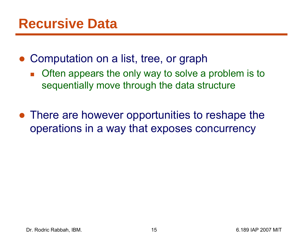- Computation on a list, tree, or graph
	- $\overline{\mathbb{R}}$  Often appears the only way to solve a problem is to sequentially move through the data structure
- There are however opportunities to reshape the operations in a way that exposes concurrency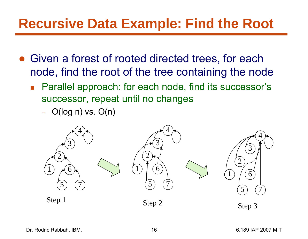#### **Recursive Data Example: Find the Root**

- Given a forest of rooted directed trees, for each node, find the root of the tree containing the node
	- Parallel approach: for each node, find its successor's successor, repeat until no changes
		- –O(log n) vs. O(n)

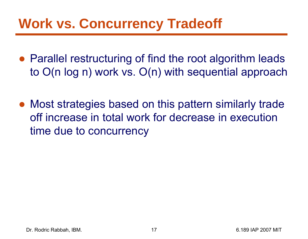## **Work vs. Concurrency Tradeoff**

- Parallel restructuring of find the root algorithm leads to O(n log n) work vs. O(n) with sequential approach
- Most strategies based on this pattern similarly trade off increase in total work for decrease in execution time due to concurrency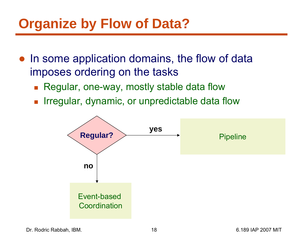## **Organize by Flow of Data?**

- ● In some application domains, the flow of data imposes ordering on the tasks
	- Regular, one-way, mostly stable data flow
	- $\overline{\mathbb{R}}$ Irregular, dynamic, or unpredictable data flow

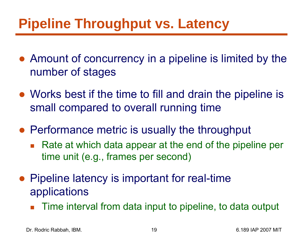## **Pipeline Throughput vs. Latency**

- Amount of concurrency in a pipeline is limited by the number of stages
- Works best if the time to fill and drain the pipeline is small compared to overall running time
- Performance metric is usually the throughput
	- $\overline{\mathbb{R}}$  Rate at which data appear at the end of the pipeline per time unit (e.g., frames per second)
- Pipeline latency is important for real-time applications
	- $\overline{\mathbb{R}}$ Time interval from data input to pipeline, to data output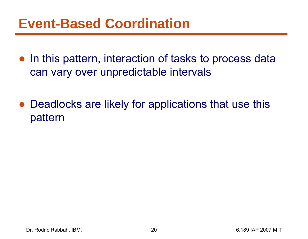#### **Event-Based Coordination**

- In this pattern, interaction of tasks to process data can vary over unpredictable intervals
- ● Deadlocks are likely for applications that use this pattern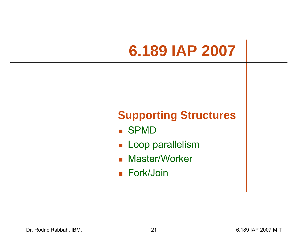# **6.189 IAP 2007**

#### **Supporting Structures**

- SPMD
- **Loop parallelism**
- **R** Master/Worker
- Fork/Join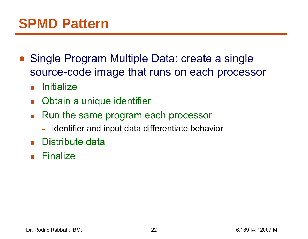- ● Single Program Multiple Data: create a single source-code image that runs on each processor
	- $\mathcal{L}_{\text{max}}$ **Initialize**
	- $\mathcal{L}_{\mathcal{A}}$ Obtain a unique identifier
	- Run the same program each processor
		- $-$  Identifier and input data differentiate behavior
	- Distribute data
	- $\blacksquare$  Finalize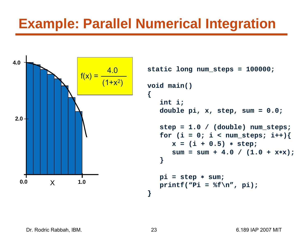#### **Example: Parallel Numerical Integration**



```
static long num_steps = 100000; 
   double pi, x, step, sum = 0.0;
   step = 1.0 / (double) num_steps;
   for (i = 0; i < num steps; i++) {
      x = (i + 0.5) 
∗ step;
      sum = sum + 4.0 / (1.0 + x
∗x);
   pi = step 
∗ sum;
   print("Pi = %f\n', pi);
```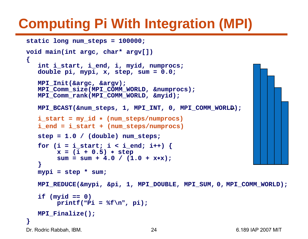# **Computing Pi With Integration (MPI)**

```
static long num_steps = 100000; 
void main(int argc, char* argv[])
{
   int i_start, i_end, i, myid, numprocs;
   double pi, mypi, x, step, sum = 0.0;
   MPI_Init(&argc, &argv);
   MPI_Comm_size(MPI_COMM_WORLD, &numprocs);
   MPI_Comm_rank(MPI_COMM_WORLD, &myid);
   MPI BCAST(&num_steps, 1, MPI_INT, 0, MPI_COMM_WORL<del>D</del>);
   i_start = my_id
∗ (num_steps/numprocs)
   i_end = i_start + (num_steps/numprocs)
   step = 1.0 / (double) num_steps;
   for (i = i_start; i < i_end; i++)x = (i + 0.5) 
∗ step
        sum = sum + 4.0 / (1.0 + x
∗x);
   }
   mypi = step * sum;
   MPI_REDUCE(&mypi, &pi, 1, MPI_DOUBLE, MPI_SUM, 0, MPI_COMM_WORLD);
   if (myid == 0)
        printf(
"Pi = %f\n
", pi);
   MPI_Finalize();
}
```

```
Dr. Rodric Rabbah, IBM. 24 6.189 IAP 2007 MIT
```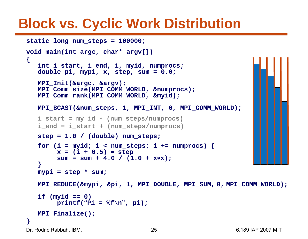#### **Block vs. Cyclic Work Distribution**

```
static long num_steps = 100000; 
void main(int argc, char* argv[])
{
   int i_start, i_end, i, myid, numprocs;
   double pi, mypi, x, step, sum = 0.0;
   MPI_Init(&argc, &argv);
   MPI_Comm_size(MPI_COMM_WORLD, &numprocs);
   MPI_Comm_rank(MPI_COMM_WORLD, &myid);
   MPI_BCAST(&num_steps, 1, MPI_INT, 0, MPI_COMM_WORLD);
   i_start = my_id
∗ (num_steps/numprocs)
   i_end = i_start + (num_steps/numprocs)
   step = 1.0 / (double) num_steps;
   for (i = myid; i < num steps; i += numprocess) {
        x = (i + 0.5) 
∗ step
        sum = sum + 4.0 / (1.0 + x
∗x);
   }
   mypi = step * sum;
   MPI_REDUCE(&mypi, &pi, 1, MPI_DOUBLE, MPI_SUM, 0, MPI_COMM_WORLD);
   if (myid == 0)
        printf(
"Pi = %f\n
", pi);
   MPI_Finalize();
}
```
Dr. Rodric Rabbah, IBM. 25 6.189 IAP 2007 MIT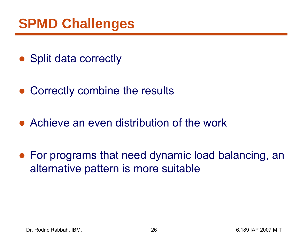## **SPMD Challenges**

- Split data correctly
- ●Correctly combine the results
- Achieve an even distribution of the work
- For programs that need dynamic load balancing, an alternative pattern is more suitable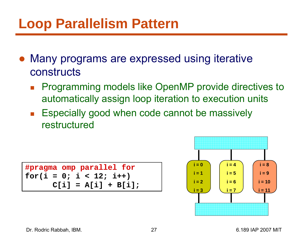## **Loop Parallelism Pattern**

- ● Many programs are expressed using iterative constructs
	- $\overline{\mathbb{R}}$  Programming models like OpenMP provide directives to automatically assign loop iteration to execution units
	- $\mathcal{L}(\mathcal{A})$  Especially good when code cannot be massively restructured

**#pragma omp parallel for**  $for(i = 0; i < 12; i++)$ **C[i] = A[i] + B[i];**

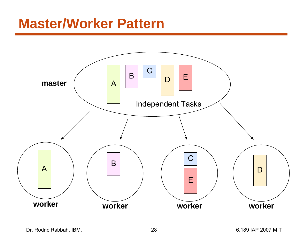#### **Master/Worker Pattern**

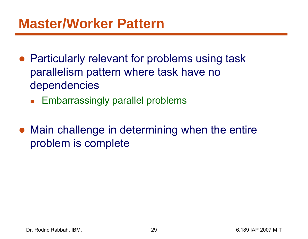- Particularly relevant for problems using task parallelism pattern where task have no dependencies
	- $\mathcal{L}_{\text{max}}$ Embarrassingly parallel problems
- Main challenge in determining when the entire problem is complete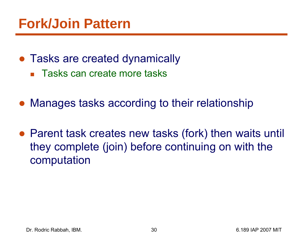- Tasks are created dynamically
	- Tasks can create more tasks
- Manages tasks according to their relationship
- Parent task creates new tasks (fork) then waits until they complete (join) before continuing on with the computation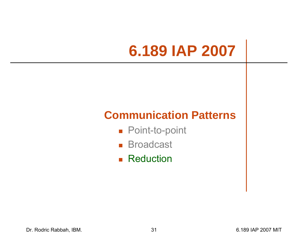# **6.189 IAP 2007**

#### **Communication Patterns**

- Point-to-point
- Broadcast
- **Reduction**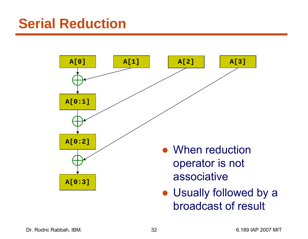#### **Serial Reduction**



• Usually followed by a broadcast of result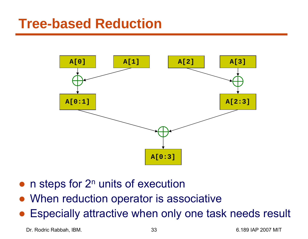#### **Tree-based Reduction**



- $\bullet$  $\bullet$  n steps for  $2^n$  units of execution
- When reduction operator is associative
- $\bullet$ Especially attractive when only one task needs result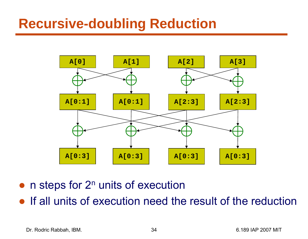#### **Recursive-doubling Reduction**



- ● $\bullet$  n steps for  $2^n$  units of execution
- ●If all units of execution need the result of the reduction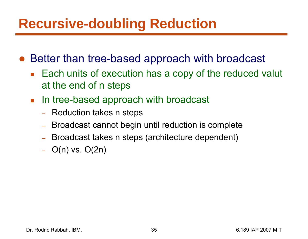#### **Recursive-doubling Reduction**

- Better than tree-based approach with broadcast
	- Each units of execution has a copy of the reduced valut at the end of n steps
	- In tree-based approach with broadcast
		- Reduction takes n steps
		- Broadcast cannot begin until reduction is complete
		- –Broadcast takes n steps (architecture dependent)
		- –O(n) vs. O(2n)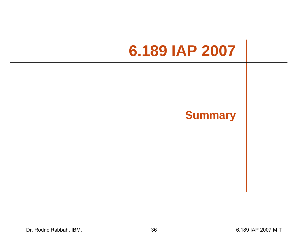# **6.189 IAP 2007**

#### **Summary**